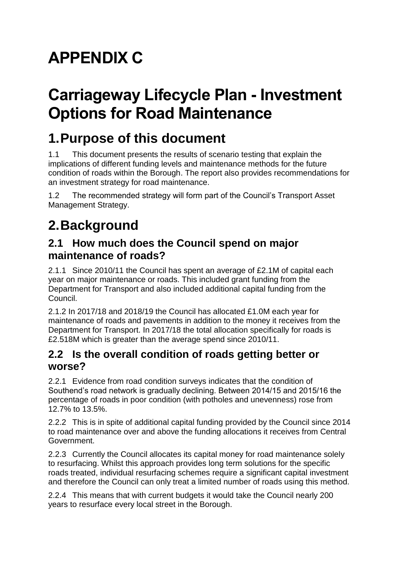# **APPENDIX C**

## **Carriageway Lifecycle Plan - Investment Options for Road Maintenance**

### **1.Purpose of this document**

1.1 This document presents the results of scenario testing that explain the implications of different funding levels and maintenance methods for the future condition of roads within the Borough. The report also provides recommendations for an investment strategy for road maintenance.

1.2 The recommended strategy will form part of the Council's Transport Asset Management Strategy.

## **2.Background**

### **2.1 How much does the Council spend on major maintenance of roads?**

2.1.1 Since 2010/11 the Council has spent an average of £2.1M of capital each year on major maintenance or roads. This included grant funding from the Department for Transport and also included additional capital funding from the Council.

2.1.2 In 2017/18 and 2018/19 the Council has allocated £1.0M each year for maintenance of roads and pavements in addition to the money it receives from the Department for Transport. In 2017/18 the total allocation specifically for roads is £2.518M which is greater than the average spend since 2010/11.

#### **2.2 Is the overall condition of roads getting better or worse?**

2.2.1 Evidence from road condition surveys indicates that the condition of Southend's road network is gradually declining. Between 2014/15 and 2015/16 the percentage of roads in poor condition (with potholes and unevenness) rose from 12.7% to 13.5%.

2.2.2 This is in spite of additional capital funding provided by the Council since 2014 to road maintenance over and above the funding allocations it receives from Central Government.

2.2.3 Currently the Council allocates its capital money for road maintenance solely to resurfacing. Whilst this approach provides long term solutions for the specific roads treated, individual resurfacing schemes require a significant capital investment and therefore the Council can only treat a limited number of roads using this method.

2.2.4 This means that with current budgets it would take the Council nearly 200 years to resurface every local street in the Borough.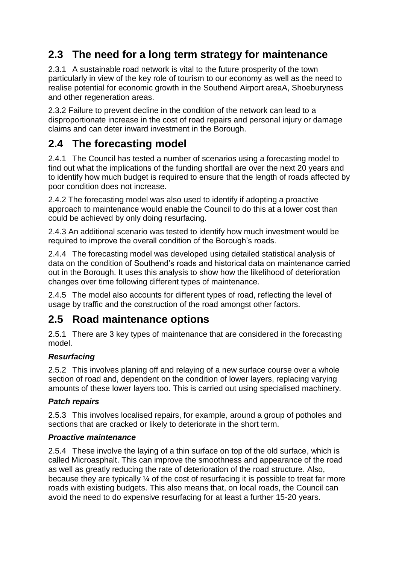### **2.3 The need for a long term strategy for maintenance**

2.3.1 A sustainable road network is vital to the future prosperity of the town particularly in view of the key role of tourism to our economy as well as the need to realise potential for economic growth in the Southend Airport areaA, Shoeburyness and other regeneration areas.

2.3.2 Failure to prevent decline in the condition of the network can lead to a disproportionate increase in the cost of road repairs and personal injury or damage claims and can deter inward investment in the Borough.

### **2.4 The forecasting model**

2.4.1 The Council has tested a number of scenarios using a forecasting model to find out what the implications of the funding shortfall are over the next 20 years and to identify how much budget is required to ensure that the length of roads affected by poor condition does not increase.

2.4.2 The forecasting model was also used to identify if adopting a proactive approach to maintenance would enable the Council to do this at a lower cost than could be achieved by only doing resurfacing.

2.4.3 An additional scenario was tested to identify how much investment would be required to improve the overall condition of the Borough's roads.

2.4.4 The forecasting model was developed using detailed statistical analysis of data on the condition of Southend's roads and historical data on maintenance carried out in the Borough. It uses this analysis to show how the likelihood of deterioration changes over time following different types of maintenance.

2.4.5 The model also accounts for different types of road, reflecting the level of usage by traffic and the construction of the road amongst other factors.

#### **2.5 Road maintenance options**

2.5.1 There are 3 key types of maintenance that are considered in the forecasting model.

#### *Resurfacing*

2.5.2 This involves planing off and relaying of a new surface course over a whole section of road and, dependent on the condition of lower layers, replacing varying amounts of these lower layers too. This is carried out using specialised machinery.

#### *Patch repairs*

2.5.3 This involves localised repairs, for example, around a group of potholes and sections that are cracked or likely to deteriorate in the short term.

#### *Proactive maintenance*

2.5.4 These involve the laying of a thin surface on top of the old surface, which is called Microasphalt. This can improve the smoothness and appearance of the road as well as greatly reducing the rate of deterioration of the road structure. Also, because they are typically ¼ of the cost of resurfacing it is possible to treat far more roads with existing budgets. This also means that, on local roads, the Council can avoid the need to do expensive resurfacing for at least a further 15-20 years.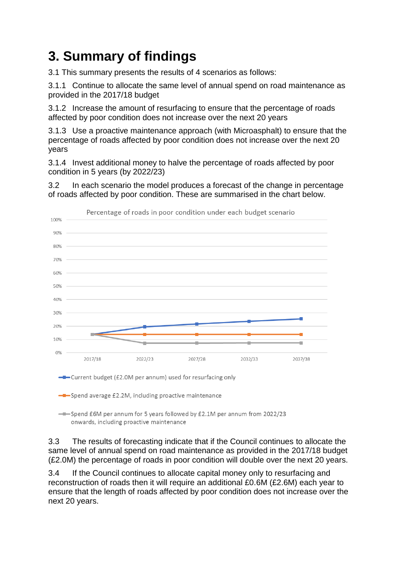## **3. Summary of findings**

3.1 This summary presents the results of 4 scenarios as follows:

3.1.1 Continue to allocate the same level of annual spend on road maintenance as provided in the 2017/18 budget

3.1.2 Increase the amount of resurfacing to ensure that the percentage of roads affected by poor condition does not increase over the next 20 years

3.1.3 Use a proactive maintenance approach (with Microasphalt) to ensure that the percentage of roads affected by poor condition does not increase over the next 20 years

3.1.4 Invest additional money to halve the percentage of roads affected by poor condition in 5 years (by 2022/23)

3.2 In each scenario the model produces a forecast of the change in percentage of roads affected by poor condition. These are summarised in the chart below.



- Current budget (£2.0M per annum) used for resurfacing only

-D-Spend average £2.2M, including proactive maintenance

-Spend £6M per annum for 5 years followed by £2.1M per annum from 2022/23 onwards, including proactive maintenance

3.3 The results of forecasting indicate that if the Council continues to allocate the same level of annual spend on road maintenance as provided in the 2017/18 budget (£2.0M) the percentage of roads in poor condition will double over the next 20 years.

3.4 If the Council continues to allocate capital money only to resurfacing and reconstruction of roads then it will require an additional £0.6M (£2.6M) each year to ensure that the length of roads affected by poor condition does not increase over the next 20 years.